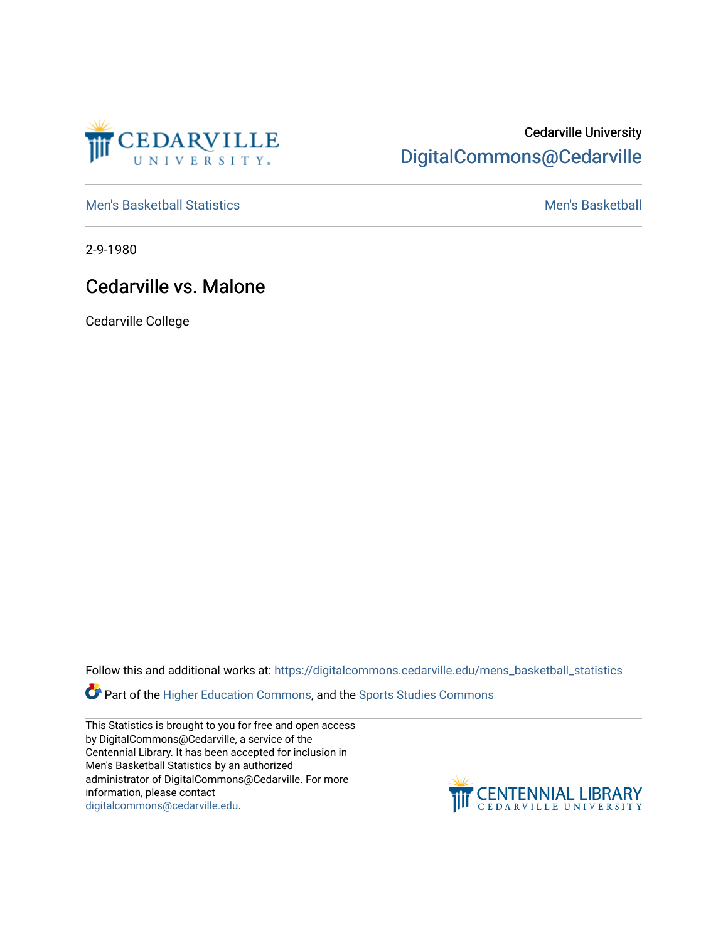

## Cedarville University [DigitalCommons@Cedarville](https://digitalcommons.cedarville.edu/)

[Men's Basketball Statistics](https://digitalcommons.cedarville.edu/mens_basketball_statistics) [Men's Basketball](https://digitalcommons.cedarville.edu/mens_basketball) 

2-9-1980

## Cedarville vs. Malone

Cedarville College

Follow this and additional works at: [https://digitalcommons.cedarville.edu/mens\\_basketball\\_statistics](https://digitalcommons.cedarville.edu/mens_basketball_statistics?utm_source=digitalcommons.cedarville.edu%2Fmens_basketball_statistics%2F265&utm_medium=PDF&utm_campaign=PDFCoverPages) 

Part of the [Higher Education Commons,](http://network.bepress.com/hgg/discipline/1245?utm_source=digitalcommons.cedarville.edu%2Fmens_basketball_statistics%2F265&utm_medium=PDF&utm_campaign=PDFCoverPages) and the Sports Studies Commons

This Statistics is brought to you for free and open access by DigitalCommons@Cedarville, a service of the Centennial Library. It has been accepted for inclusion in Men's Basketball Statistics by an authorized administrator of DigitalCommons@Cedarville. For more information, please contact [digitalcommons@cedarville.edu](mailto:digitalcommons@cedarville.edu).